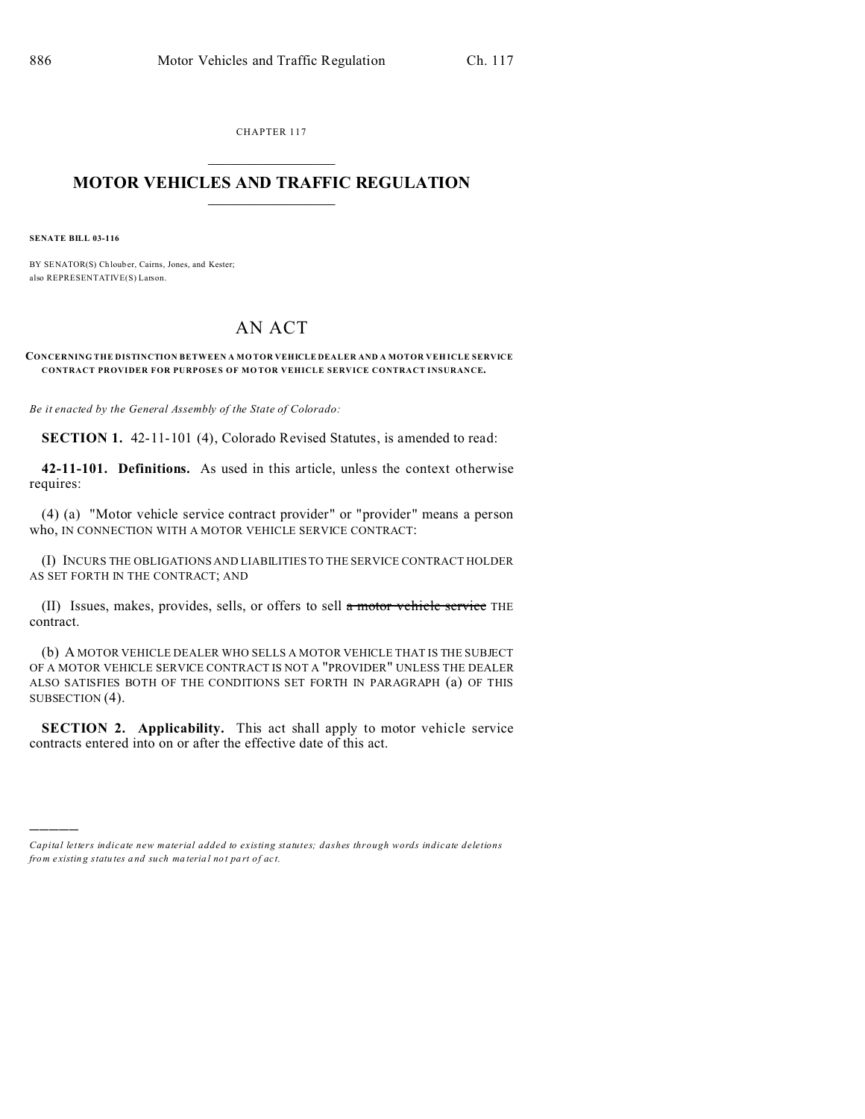CHAPTER 117  $\overline{\phantom{a}}$  , where  $\overline{\phantom{a}}$ 

## **MOTOR VEHICLES AND TRAFFIC REGULATION**  $\frac{1}{2}$  ,  $\frac{1}{2}$  ,  $\frac{1}{2}$  ,  $\frac{1}{2}$  ,  $\frac{1}{2}$  ,  $\frac{1}{2}$  ,  $\frac{1}{2}$

**SENATE BILL 03-116**

)))))

BY SENATOR(S) Ch loub er, Cairns, Jones, and Kester; also REPRESENTATIVE(S) Larson.

## AN ACT

## **CONCERNING THE DISTINCTION BETWEEN A MO TOR VEHICLE DEALER AND A MOTOR VEH ICLE SERVICE CONTRACT PROVIDER FOR PURPOSE S OF MO TOR VEHICLE SERVICE CONTRACT INSURANCE.**

*Be it enacted by the General Assembly of the State of Colorado:*

**SECTION 1.** 42-11-101 (4), Colorado Revised Statutes, is amended to read:

**42-11-101. Definitions.** As used in this article, unless the context otherwise requires:

(4) (a) "Motor vehicle service contract provider" or "provider" means a person who, IN CONNECTION WITH A MOTOR VEHICLE SERVICE CONTRACT:

(I) INCURS THE OBLIGATIONS AND LIABILITIES TO THE SERVICE CONTRACT HOLDER AS SET FORTH IN THE CONTRACT; AND

(II) Issues, makes, provides, sells, or offers to sell a motor vehicle service THE contract.

(b) A MOTOR VEHICLE DEALER WHO SELLS A MOTOR VEHICLE THAT IS THE SUBJECT OF A MOTOR VEHICLE SERVICE CONTRACT IS NOT A "PROVIDER" UNLESS THE DEALER ALSO SATISFIES BOTH OF THE CONDITIONS SET FORTH IN PARAGRAPH (a) OF THIS SUBSECTION (4).

**SECTION 2. Applicability.** This act shall apply to motor vehicle service contracts entered into on or after the effective date of this act.

*Capital letters indicate new material added to existing statutes; dashes through words indicate deletions from e xistin g statu tes a nd such ma teria l no t pa rt of ac t.*